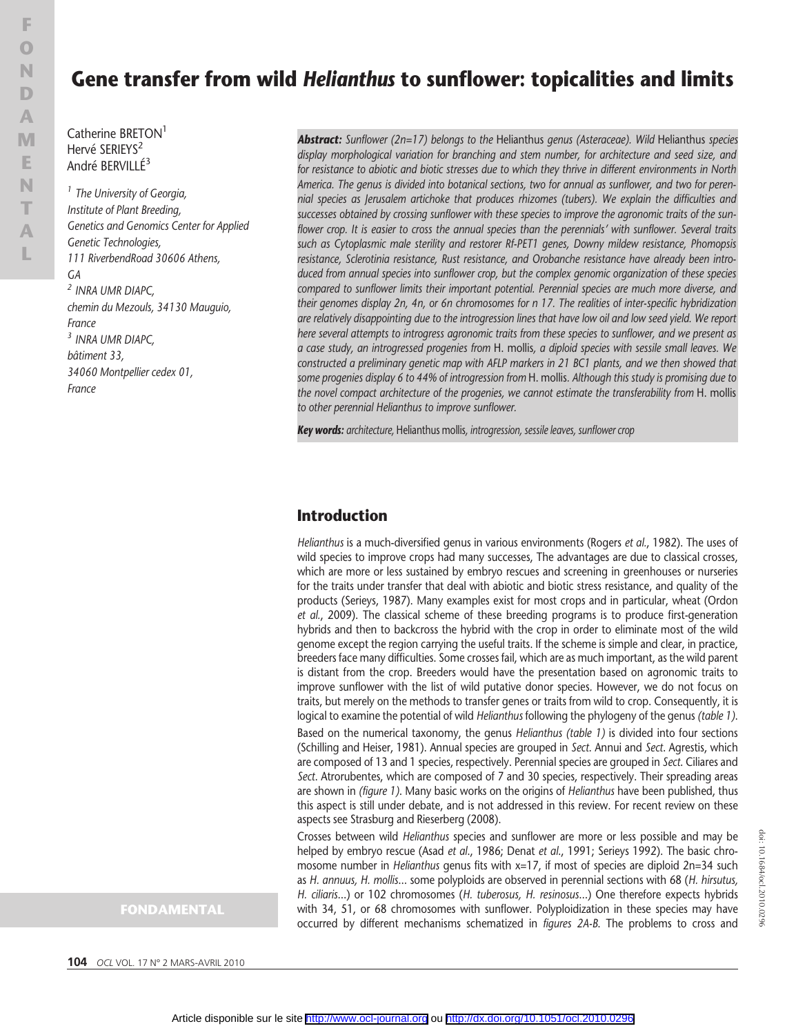# Gene transfer from wild Helianthus to sunflower: topicalities and limits

Catherine BRETON<sup>1</sup> Hervé SERIEYS<sup>2</sup> André BERVILLÉ3

<sup>1</sup> The University of Georgia, Institute of Plant Breeding, Genetics and Genomics Center for Applied Genetic Technologies, 111 RiverbendRoad 30606 Athens, GA <sup>2</sup> INRA UMR DIAPC, chemin du Mezouls, 34130 Mauguio, France <sup>3</sup> INRA UMR DIAPC, bâtiment 33, 34060 Montpellier cedex 01, France

display morphological variation for branching and stem number, for architecture and seed size, and for resistance to abiotic and biotic stresses due to which they thrive in different environments in North America. The genus is divided into botanical sections, two for annual as sunflower, and two for perennial species as Jerusalem artichoke that produces rhizomes (tubers). We explain the difficulties and successes obtained by crossing sunflower with these species to improve the agronomic traits of the sunflower crop. It is easier to cross the annual species than the perennials' with sunflower. Several traits such as Cytoplasmic male sterility and restorer Rf-PET1 genes, Downy mildew resistance, Phomopsis resistance, Sclerotinia resistance, Rust resistance, and Orobanche resistance have already been introduced from annual species into sunflower crop, but the complex genomic organization of these species compared to sunflower limits their important potential. Perennial species are much more diverse, and their genomes display 2n, 4n, or 6n chromosomes for n 17. The realities of inter-specific hybridization are relatively disappointing due to the introgression lines that have low oil and low seed yield. We report here several attempts to introgress agronomic traits from these species to sunflower, and we present as a case study, an introgressed progenies from H. mollis, a diploid species with sessile small leaves. We constructed a preliminary genetic map with AFLP markers in 21 BC1 plants, and we then showed that some progenies display 6 to 44% of introgression from H. mollis. Although this study is promising due to the novel compact architecture of the progenies, we cannot estimate the transferability from H. mollis

**Abstract:** Sunflower (2n=17) belongs to the Helianthus genus (Asteraceae). Wild Helianthus species

Key words: architecture, Helianthus mollis, introgression, sessile leaves, sunflower crop

to other perennial Helianthus to improve sunflower.

#### Introduction

Helianthus is a much-diversified genus in various environments (Rogers et al., 1982). The uses of wild species to improve crops had many successes, The advantages are due to classical crosses, which are more or less sustained by embryo rescues and screening in greenhouses or nurseries for the traits under transfer that deal with abiotic and biotic stress resistance, and quality of the products (Serieys, 1987). Many examples exist for most crops and in particular, wheat (Ordon et al., 2009). The classical scheme of these breeding programs is to produce first-generation hybrids and then to backcross the hybrid with the crop in order to eliminate most of the wild genome except the region carrying the useful traits. If the scheme is simple and clear, in practice, breeders face many difficulties. Some crosses fail, which are as much important, as the wild parent is distant from the crop. Breeders would have the presentation based on agronomic traits to improve sunflower with the list of wild putative donor species. However, we do not focus on traits, but merely on the methods to transfer genes or traits from wild to crop. Consequently, it is logical to examine the potential of wild Helianthus following the phylogeny of the genus (table 1). Based on the numerical taxonomy, the genus Helianthus (table 1) is divided into four sections (Schilling and Heiser, 1981). Annual species are grouped in Sect. Annui and Sect. Agrestis, which are composed of 13 and 1 species, respectively. Perennial species are grouped in Sect. Ciliares and Sect. Atrorubentes, which are composed of 7 and 30 species, respectively. Their spreading areas are shown in (figure 1). Many basic works on the origins of Helianthus have been published, thus this aspect is still under debate, and is not addressed in this review. For recent review on these aspects see Strasburg and Rieserberg (2008).

Crosses between wild Helianthus species and sunflower are more or less possible and may be helped by embryo rescue (Asad et al., 1986; Denat et al., 1991; Serieys 1992). The basic chromosome number in *Helianthus* genus fits with x=17, if most of species are diploid 2n=34 such as H. annuus, H. mollis... some polyploids are observed in perennial sections with 68 (H. hirsutus, H. ciliaris...) or 102 chromosomes (H. tuberosus, H. resinosus...) One therefore expects hybrids with 34, 51, or 68 chromosomes with sunflower. Polyploidization in these species may have occurred by different mechanisms schematized in figures 2A-B. The problems to cross and

#### FONDAMENTAL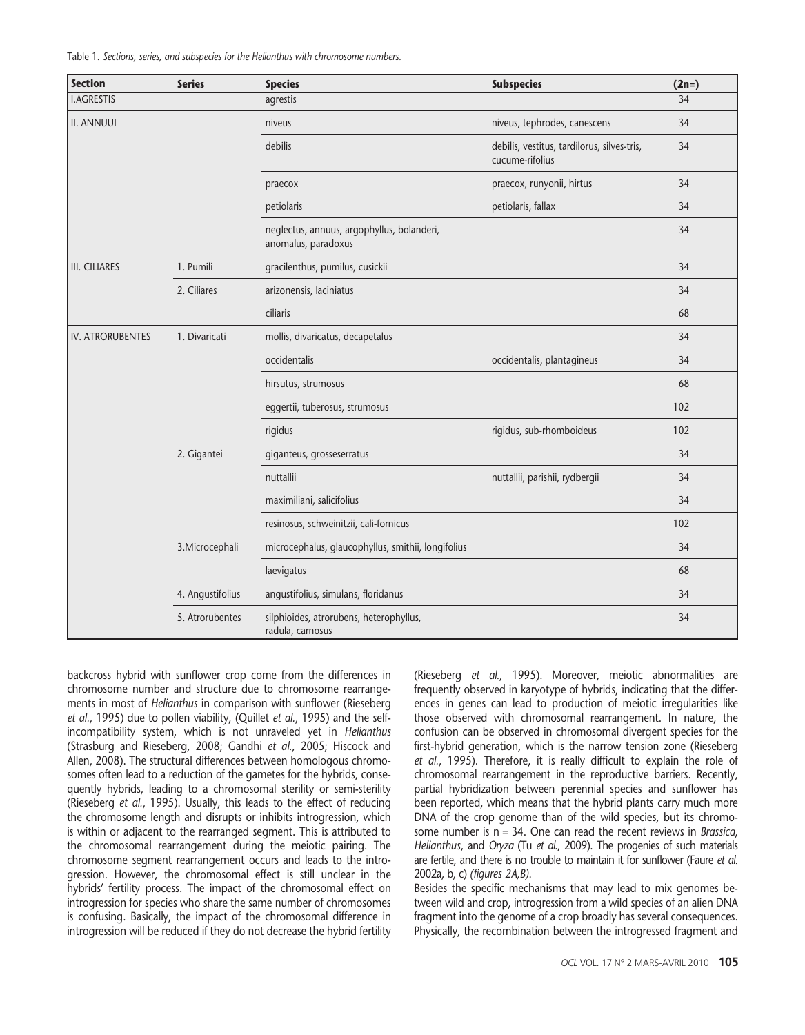Table 1. Sections, series, and subspecies for the Helianthus with chromosome numbers.

| <b>Section</b>          | <b>Series</b>    | <b>Species</b>                                                    | <b>Subspecies</b>                                              | $(2n=)$ |
|-------------------------|------------------|-------------------------------------------------------------------|----------------------------------------------------------------|---------|
| <b>I.AGRESTIS</b>       |                  | agrestis                                                          |                                                                | 34      |
| <b>II. ANNUUI</b>       |                  | niveus                                                            | niveus, tephrodes, canescens                                   | 34      |
|                         |                  | debilis                                                           | debilis, vestitus, tardilorus, silves-tris,<br>cucume-rifolius | 34      |
|                         |                  | praecox                                                           | praecox, runyonii, hirtus                                      | 34      |
|                         |                  | petiolaris                                                        | petiolaris, fallax                                             | 34      |
|                         |                  | neglectus, annuus, argophyllus, bolanderi,<br>anomalus, paradoxus |                                                                | 34      |
| <b>III. CILIARES</b>    | 1. Pumili        | gracilenthus, pumilus, cusickii                                   |                                                                | 34      |
|                         | 2. Ciliares      | arizonensis, laciniatus                                           |                                                                | 34      |
|                         |                  | ciliaris                                                          |                                                                | 68      |
| <b>IV. ATRORUBENTES</b> | 1. Divaricati    | mollis, divaricatus, decapetalus                                  |                                                                | 34      |
|                         |                  | occidentalis                                                      | occidentalis, plantagineus                                     | 34      |
|                         |                  | hirsutus, strumosus                                               |                                                                | 68      |
|                         |                  | eggertii, tuberosus, strumosus                                    |                                                                | 102     |
|                         |                  | rigidus                                                           | rigidus, sub-rhomboideus                                       | 102     |
|                         | 2. Gigantei      | giganteus, grosseserratus                                         |                                                                | 34      |
|                         |                  | nuttallii                                                         | nuttallii, parishii, rydbergii                                 | 34      |
|                         |                  | maximiliani, salicifolius                                         |                                                                | 34      |
|                         |                  | resinosus, schweinitzii, cali-fornicus                            |                                                                | 102     |
|                         | 3. Microcephali  | microcephalus, glaucophyllus, smithii, longifolius                |                                                                | 34      |
|                         |                  | laevigatus                                                        |                                                                | 68      |
|                         | 4. Angustifolius | angustifolius, simulans, floridanus                               |                                                                | 34      |
|                         | 5. Atrorubentes  | silphioides, atrorubens, heterophyllus,<br>radula, carnosus       |                                                                | 34      |

backcross hybrid with sunflower crop come from the differences in chromosome number and structure due to chromosome rearrangements in most of Helianthus in comparison with sunflower (Rieseberg et al., 1995) due to pollen viability, (Quillet et al., 1995) and the selfincompatibility system, which is not unraveled yet in Helianthus (Strasburg and Rieseberg, 2008; Gandhi et al., 2005; Hiscock and Allen, 2008). The structural differences between homologous chromosomes often lead to a reduction of the gametes for the hybrids, consequently hybrids, leading to a chromosomal sterility or semi-sterility (Rieseberg et al., 1995). Usually, this leads to the effect of reducing the chromosome length and disrupts or inhibits introgression, which is within or adjacent to the rearranged segment. This is attributed to the chromosomal rearrangement during the meiotic pairing. The chromosome segment rearrangement occurs and leads to the introgression. However, the chromosomal effect is still unclear in the hybrids' fertility process. The impact of the chromosomal effect on introgression for species who share the same number of chromosomes is confusing. Basically, the impact of the chromosomal difference in introgression will be reduced if they do not decrease the hybrid fertility

(Rieseberg et al., 1995). Moreover, meiotic abnormalities are frequently observed in karyotype of hybrids, indicating that the differences in genes can lead to production of meiotic irregularities like those observed with chromosomal rearrangement. In nature, the confusion can be observed in chromosomal divergent species for the first-hybrid generation, which is the narrow tension zone (Rieseberg et al., 1995). Therefore, it is really difficult to explain the role of chromosomal rearrangement in the reproductive barriers. Recently, partial hybridization between perennial species and sunflower has been reported, which means that the hybrid plants carry much more DNA of the crop genome than of the wild species, but its chromosome number is  $n = 34$ . One can read the recent reviews in *Brassica*, Helianthus, and Oryza (Tu et al., 2009). The progenies of such materials are fertile, and there is no trouble to maintain it for sunflower (Faure et al. 2002a, b, c) (figures 2A,B).

Besides the specific mechanisms that may lead to mix genomes between wild and crop, introgression from a wild species of an alien DNA fragment into the genome of a crop broadly has several consequences. Physically, the recombination between the introgressed fragment and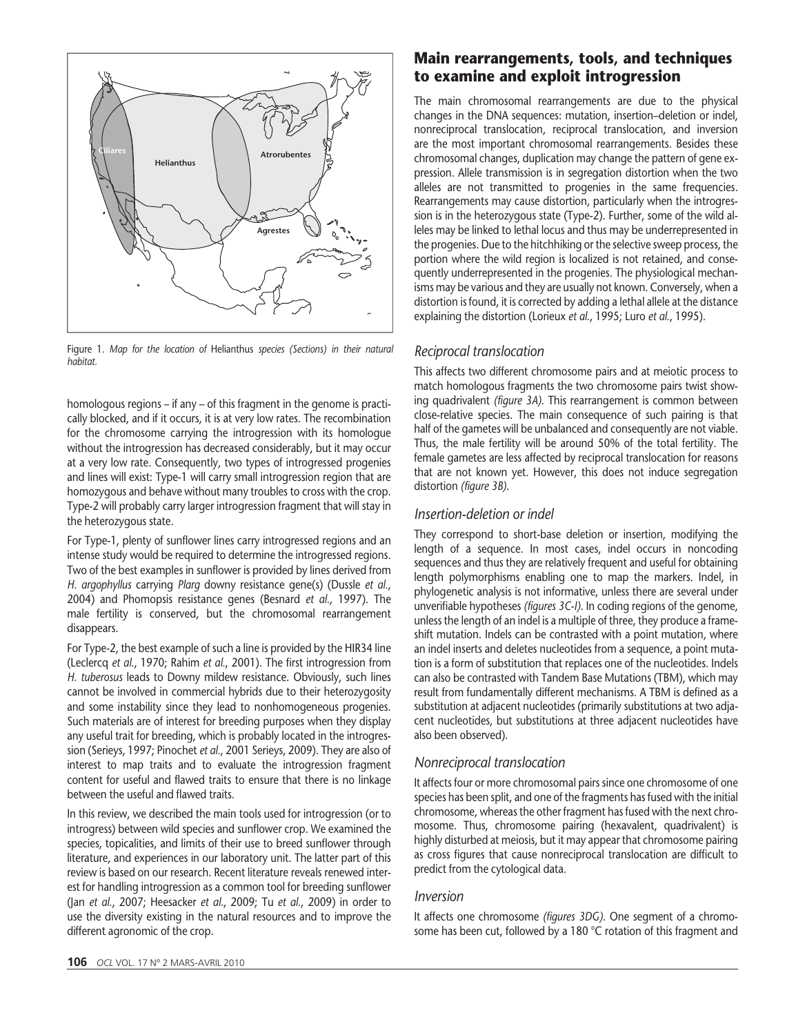

Figure 1. Map for the location of Helianthus species (Sections) in their natural habitat.

homologous regions – if any – of this fragment in the genome is practically blocked, and if it occurs, it is at very low rates. The recombination for the chromosome carrying the introgression with its homologue without the introgression has decreased considerably, but it may occur at a very low rate. Consequently, two types of introgressed progenies and lines will exist: Type-1 will carry small introgression region that are homozygous and behave without many troubles to cross with the crop. Type-2 will probably carry larger introgression fragment that will stay in the heterozygous state.

For Type-1, plenty of sunflower lines carry introgressed regions and an intense study would be required to determine the introgressed regions. Two of the best examples in sunflower is provided by lines derived from H. argophyllus carrying Plarg downy resistance gene(s) (Dussle et al., 2004) and Phomopsis resistance genes (Besnard et al., 1997). The male fertility is conserved, but the chromosomal rearrangement disappears.

For Type-2, the best example of such a line is provided by the HIR34 line (Leclercq et al., 1970; Rahim et al., 2001). The first introgression from H. tuberosus leads to Downy mildew resistance. Obviously, such lines cannot be involved in commercial hybrids due to their heterozygosity and some instability since they lead to nonhomogeneous progenies. Such materials are of interest for breeding purposes when they display any useful trait for breeding, which is probably located in the introgression (Serieys, 1997; Pinochet et al., 2001 Serieys, 2009). They are also of interest to map traits and to evaluate the introgression fragment content for useful and flawed traits to ensure that there is no linkage between the useful and flawed traits.

In this review, we described the main tools used for introgression (or to introgress) between wild species and sunflower crop. We examined the species, topicalities, and limits of their use to breed sunflower through literature, and experiences in our laboratory unit. The latter part of this review is based on our research. Recent literature reveals renewed interest for handling introgression as a common tool for breeding sunflower (Jan et al., 2007; Heesacker et al., 2009; Tu et al., 2009) in order to use the diversity existing in the natural resources and to improve the different agronomic of the crop.

### Main rearrangements, tools, and techniques to examine and exploit introgression

The main chromosomal rearrangements are due to the physical changes in the DNA sequences: mutation, insertion–deletion or indel, nonreciprocal translocation, reciprocal translocation, and inversion are the most important chromosomal rearrangements. Besides these chromosomal changes, duplication may change the pattern of gene expression. Allele transmission is in segregation distortion when the two alleles are not transmitted to progenies in the same frequencies. Rearrangements may cause distortion, particularly when the introgression is in the heterozygous state (Type-2). Further, some of the wild alleles may be linked to lethal locus and thus may be underrepresented in the progenies. Due to the hitchhiking or the selective sweep process, the portion where the wild region is localized is not retained, and consequently underrepresented in the progenies. The physiological mechanisms may be various and they are usually not known. Conversely, when a distortion is found, it is corrected by adding a lethal allele at the distance explaining the distortion (Lorieux et al., 1995; Luro et al., 1995).

#### Reciprocal translocation

This affects two different chromosome pairs and at meiotic process to match homologous fragments the two chromosome pairs twist showing quadrivalent (figure 3A). This rearrangement is common between close-relative species. The main consequence of such pairing is that half of the gametes will be unbalanced and consequently are not viable. Thus, the male fertility will be around 50% of the total fertility. The female gametes are less affected by reciprocal translocation for reasons that are not known yet. However, this does not induce segregation distortion (figure 3B).

#### Insertion-deletion or indel

They correspond to short-base deletion or insertion, modifying the length of a sequence. In most cases, indel occurs in noncoding sequences and thus they are relatively frequent and useful for obtaining length polymorphisms enabling one to map the markers. Indel, in phylogenetic analysis is not informative, unless there are several under unverifiable hypotheses (figures 3C-I). In coding regions of the genome, unless the length of an indel is a multiple of three, they produce a frameshift mutation. Indels can be contrasted with a point mutation, where an indel inserts and deletes nucleotides from a sequence, a point mutation is a form of substitution that replaces one of the nucleotides. Indels can also be contrasted with Tandem Base Mutations (TBM), which may result from fundamentally different mechanisms. A TBM is defined as a substitution at adjacent nucleotides (primarily substitutions at two adjacent nucleotides, but substitutions at three adjacent nucleotides have also been observed).

### Nonreciprocal translocation

It affects four or more chromosomal pairs since one chromosome of one species has been split, and one of the fragments has fused with the initial chromosome, whereas the other fragment has fused with the next chromosome. Thus, chromosome pairing (hexavalent, quadrivalent) is highly disturbed at meiosis, but it may appear that chromosome pairing as cross figures that cause nonreciprocal translocation are difficult to predict from the cytological data.

#### Inversion

It affects one chromosome (figures 3DG). One segment of a chromosome has been cut, followed by a 180 °C rotation of this fragment and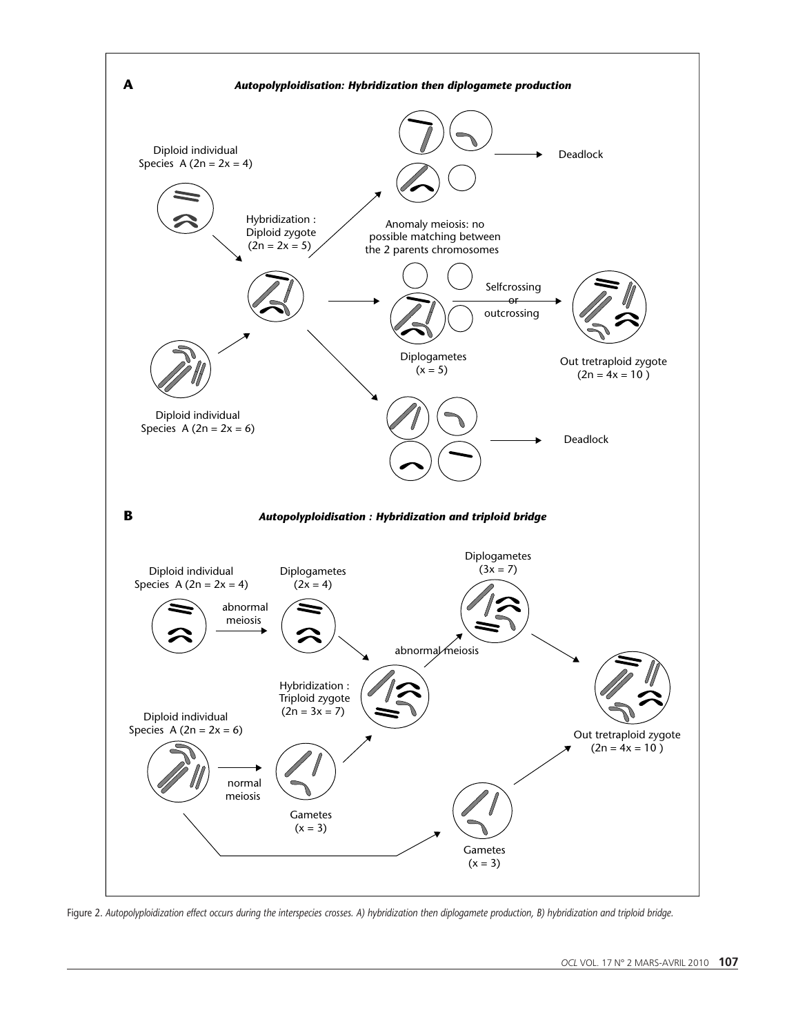

Figure 2. Autopolyploidization effect occurs during the interspecies crosses. A) hybridization then diplogamete production, B) hybridization and triploid bridge.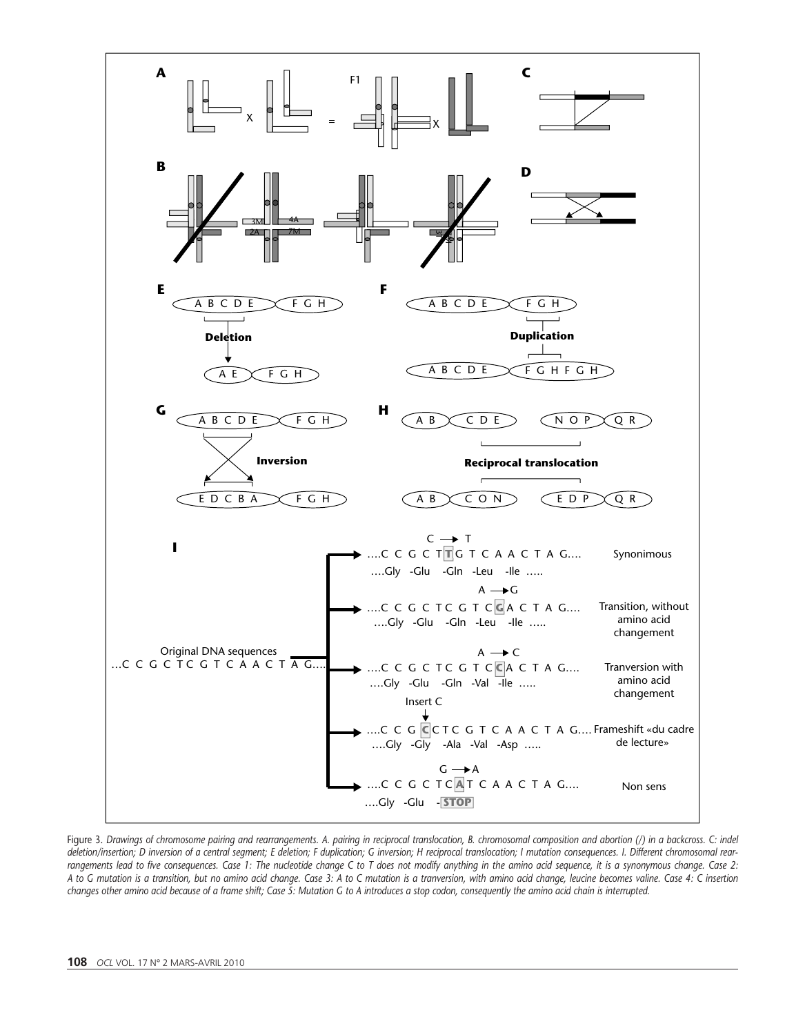

Figure 3. Drawings of chromosome pairing and rearrangements. A. pairing in reciprocal translocation, B. chromosomal composition and abortion (/) in a backcross. C: indel deletion/insertion; D inversion of a central segment; E deletion; F duplication; G inversion; H reciprocal translocation; I mutation consequences. I. Different chromosomal rearrangements lead to five consequences. Case 1: The nucleotide change C to T does not modify anything in the amino acid sequence, it is a synonymous change. Case 2: A to G mutation is a transition, but no amino acid change. Case 3: A to C mutation is a tranversion, with amino acid change, leucine becomes valine. Case 4: C insertion changes other amino acid because of a frame shift; Case 5: Mutation G to A introduces a stop codon, consequently the amino acid chain is interrupted.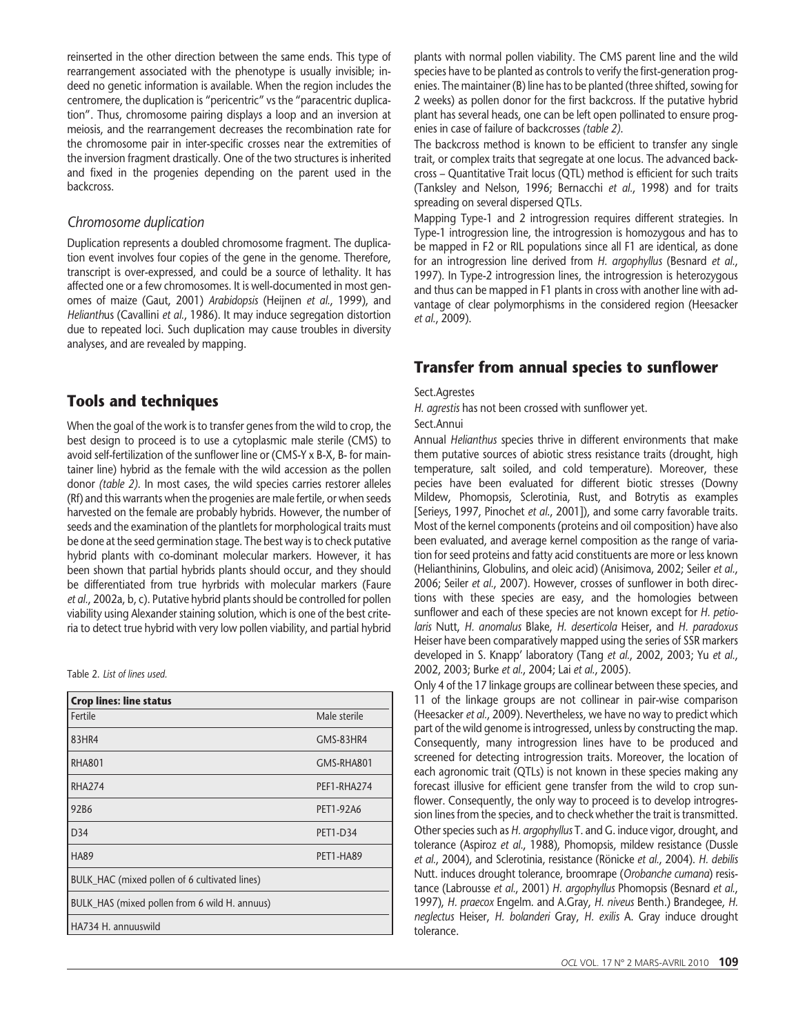reinserted in the other direction between the same ends. This type of rearrangement associated with the phenotype is usually invisible; indeed no genetic information is available. When the region includes the centromere, the duplication is "pericentric" vs the "paracentric duplication". Thus, chromosome pairing displays a loop and an inversion at meiosis, and the rearrangement decreases the recombination rate for the chromosome pair in inter-specific crosses near the extremities of the inversion fragment drastically. One of the two structures is inherited and fixed in the progenies depending on the parent used in the backcross.

#### Chromosome duplication

Duplication represents a doubled chromosome fragment. The duplication event involves four copies of the gene in the genome. Therefore, transcript is over-expressed, and could be a source of lethality. It has affected one or a few chromosomes. It is well-documented in most genomes of maize (Gaut, 2001) Arabidopsis (Heijnen et al., 1999), and Helianthus (Cavallini et al., 1986). It may induce segregation distortion due to repeated loci. Such duplication may cause troubles in diversity analyses, and are revealed by mapping.

#### Tools and techniques

When the goal of the work is to transfer genes from the wild to crop, the best design to proceed is to use a cytoplasmic male sterile (CMS) to avoid self-fertilization of the sunflower line or (CMS-Y x B-X, B- for maintainer line) hybrid as the female with the wild accession as the pollen donor (table 2). In most cases, the wild species carries restorer alleles (Rf) and this warrants when the progenies are male fertile, or when seeds harvested on the female are probably hybrids. However, the number of seeds and the examination of the plantlets for morphological traits must be done at the seed germination stage. The best way is to check putative hybrid plants with co-dominant molecular markers. However, it has been shown that partial hybrids plants should occur, and they should be differentiated from true hyrbrids with molecular markers (Faure et al., 2002a, b, c). Putative hybrid plants should be controlled for pollen viability using Alexander staining solution, which is one of the best criteria to detect true hybrid with very low pollen viability, and partial hybrid

Table 2. List of lines used.

| <b>Crop lines: line status</b>                |                 |  |  |  |  |  |
|-----------------------------------------------|-----------------|--|--|--|--|--|
| Fertile                                       | Male sterile    |  |  |  |  |  |
| 83HR4                                         | GMS-83HR4       |  |  |  |  |  |
| <b>RHA801</b>                                 | GMS-RHA801      |  |  |  |  |  |
| <b>RHA274</b>                                 | PEF1-RHA274     |  |  |  |  |  |
| 92B6                                          | PET1-92A6       |  |  |  |  |  |
| D <sub>34</sub>                               | <b>PET1-D34</b> |  |  |  |  |  |
| <b>HA89</b>                                   | PET1-HA89       |  |  |  |  |  |
| BULK_HAC (mixed pollen of 6 cultivated lines) |                 |  |  |  |  |  |
| BULK_HAS (mixed pollen from 6 wild H. annuus) |                 |  |  |  |  |  |
| HA734 H. annuuswild                           |                 |  |  |  |  |  |

plants with normal pollen viability. The CMS parent line and the wild species have to be planted as controls to verify the first-generation progenies. The maintainer (B) line has to be planted (three shifted, sowing for 2 weeks) as pollen donor for the first backcross. If the putative hybrid plant has several heads, one can be left open pollinated to ensure progenies in case of failure of backcrosses (table 2).

The backcross method is known to be efficient to transfer any single trait, or complex traits that segregate at one locus. The advanced backcross – Quantitative Trait locus (QTL) method is efficient for such traits (Tanksley and Nelson, 1996; Bernacchi et al., 1998) and for traits spreading on several dispersed QTLs.

Mapping Type-1 and 2 introgression requires different strategies. In Type-1 introgression line, the introgression is homozygous and has to be mapped in F2 or RIL populations since all F1 are identical, as done for an introgression line derived from H. argophyllus (Besnard et al., 1997). In Type-2 introgression lines, the introgression is heterozygous and thus can be mapped in F1 plants in cross with another line with advantage of clear polymorphisms in the considered region (Heesacker et al., 2009).

### Transfer from annual species to sunflower

#### Sect.Agrestes

H. agrestis has not been crossed with sunflower yet.

Sect.Annui

Annual Helianthus species thrive in different environments that make them putative sources of abiotic stress resistance traits (drought, high temperature, salt soiled, and cold temperature). Moreover, these pecies have been evaluated for different biotic stresses (Downy Mildew, Phomopsis, Sclerotinia, Rust, and Botrytis as examples [Serieys, 1997, Pinochet et al., 2001]), and some carry favorable traits. Most of the kernel components (proteins and oil composition) have also been evaluated, and average kernel composition as the range of variation for seed proteins and fatty acid constituents are more or less known (Helianthinins, Globulins, and oleic acid) (Anisimova, 2002; Seiler et al., 2006; Seiler et al., 2007). However, crosses of sunflower in both directions with these species are easy, and the homologies between sunflower and each of these species are not known except for H. petiolaris Nutt, H. anomalus Blake, H. deserticola Heiser, and H. paradoxus Heiser have been comparatively mapped using the series of SSR markers developed in S. Knapp' laboratory (Tang et al., 2002, 2003; Yu et al., 2002, 2003; Burke et al., 2004; Lai et al., 2005).

Only 4 of the 17 linkage groups are collinear between these species, and 11 of the linkage groups are not collinear in pair-wise comparison (Heesacker et al., 2009). Nevertheless, we have no way to predict which part of the wild genome is introgressed, unless by constructing the map. Consequently, many introgression lines have to be produced and screened for detecting introgression traits. Moreover, the location of each agronomic trait (QTLs) is not known in these species making any forecast illusive for efficient gene transfer from the wild to crop sunflower. Consequently, the only way to proceed is to develop introgression lines from the species, and to check whether the trait is transmitted. Other species such as H. argophyllus T. and G. induce vigor, drought, and tolerance (Aspiroz et al., 1988), Phomopsis, mildew resistance (Dussle et al., 2004), and Sclerotinia, resistance (Rönicke et al., 2004). H. debilis Nutt. induces drought tolerance, broomrape (Orobanche cumana) resistance (Labrousse et al., 2001) H. argophyllus Phomopsis (Besnard et al., 1997), H. praecox Engelm. and A.Gray, H. niveus Benth.) Brandegee, H. neglectus Heiser, H. bolanderi Gray, H. exilis A. Gray induce drought tolerance.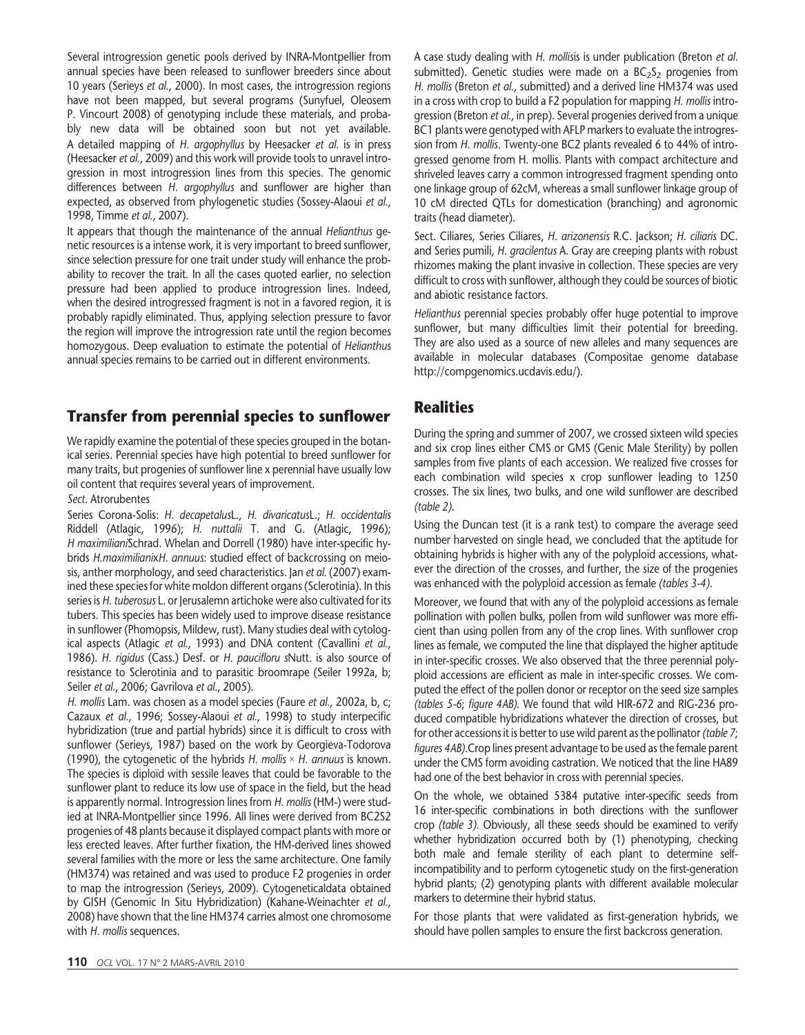Several introgression genetic pools derived by INRA-Montpellier from annual species have been released to sunflower breeders since about 10 years (Serieys et al., 2000). In most cases, the introgression regions have not been mapped, but several programs (Sunyfuel, Oleosem P. Vincourt 2008) of genotyping include these materials, and probably new data will be obtained soon but not yet available. A detailed mapping of H. argophyllus by Heesacker et al. is in press (Heesacker et al., 2009) and this work will provide tools to unravel introgression in most introgression lines from this species. The genomic differences between H. argophyllus and sunflower are higher than expected, as observed from phylogenetic studies (Sossey-Alaoui et al., 1998, Timme et al., 2007).

It appears that though the maintenance of the annual *Helianthus* genetic resources is a intense work, it is very important to breed sunflower, since selection pressure for one trait under study will enhance the probability to recover the trait. In all the cases quoted earlier, no selection pressure had been applied to produce introgression lines. Indeed, when the desired introgressed fragment is not in a favored region, it is probably rapidly eliminated. Thus, applying selection pressure to favor the region will improve the introgression rate until the region becomes homozygous. Deep evaluation to estimate the potential of Helianthus annual species remains to be carried out in different environments.

## Transfer from perennial species to sunflower

We rapidly examine the potential of these species grouped in the botanical series. Perennial species have high potential to breed sunflower for many traits, but progenies of sunflower line x perennial have usually low oil content that requires several years of improvement.

#### Sect. Atrorubentes

Series Corona-Solis: H. decapetalusL., H. divaricatusL.; H. occidentalis Riddell (Atlagic, 1996); H. nuttalii T. and G. (Atlagic, 1996); H maximilianiSchrad. Whelan and Dorrell (1980) have inter-specific hybrids H.maximilianixH. annuus: studied effect of backcrossing on meiosis, anther morphology, and seed characteristics. Jan et al. (2007) examined these species for white moldon different organs (Sclerotinia). In this series is H. tuberosus L. or Jerusalemn artichoke were also cultivated for its tubers. This species has been widely used to improve disease resistance in sunflower (Phomopsis, Mildew, rust). Many studies deal with cytological aspects (Atlagic et al., 1993) and DNA content (Cavallini et al., 1986). H. rigidus (Cass.) Desf. or H. paucifloru sNutt. is also source of resistance to Sclerotinia and to parasitic broomrape (Seiler 1992a, b; Seiler et al., 2006; Gavrilova et al., 2005).

H. mollis Lam. was chosen as a model species (Faure et al., 2002a, b, c; Cazaux et al., 1996; Sossey-Alaoui et al., 1998) to study interpecific hybridization (true and partial hybrids) since it is difficult to cross with sunflower (Serieys, 1987) based on the work by Georgieva-Todorova (1990), the cytogenetic of the hybrids H. mollis  $\times$  H. annuus is known. The species is diploïd with sessile leaves that could be favorable to the sunflower plant to reduce its low use of space in the field, but the head is apparently normal. Introgression lines from H. mollis (HM-) were studied at INRA-Montpellier since 1996. All lines were derived from BC2S2 progenies of 48 plants because it displayed compact plants with more or less erected leaves. After further fixation, the HM-derived lines showed several families with the more or less the same architecture. One family (HM374) was retained and was used to produce F2 progenies in order to map the introgression (Serieys, 2009). Cytogeneticaldata obtained by GISH (Genomic In Situ Hybridization) (Kahane-Weinachter et al., 2008) have shown that the line HM374 carries almost one chromosome with H. mollis sequences.

A case study dealing with H. mollisis is under publication (Breton et al. submitted). Genetic studies were made on a  $BC<sub>2</sub>S<sub>2</sub>$  progenies from H. mollis (Breton et al., submitted) and a derived line HM374 was used in a cross with crop to build a F2 population for mapping H. mollis introgression (Breton et al., in prep). Several progenies derived from a unique BC1 plants were genotyped with AFLP markers to evaluate the introgression from H. mollis. Twenty-one BC2 plants revealed 6 to 44% of introgressed genome from H. mollis. Plants with compact architecture and shriveled leaves carry a common introgressed fragment spending onto one linkage group of 62cM, whereas a small sunflower linkage group of 10 cM directed QTLs for domestication (branching) and agronomic traits (head diameter).

Sect. Ciliares, Series Ciliares, H. arizonensis R.C. Jackson; H. ciliaris DC. and Series pumili, H. gracilentus A. Gray are creeping plants with robust rhizomes making the plant invasive in collection. These species are very difficult to cross with sunflower, although they could be sources of biotic and abiotic resistance factors.

Helianthus perennial species probably offer huge potential to improve sunflower, but many difficulties limit their potential for breeding. They are also used as a source of new alleles and many sequences are available in molecular databases (Compositae genome database http://compgenomics.ucdavis.edu/).

### **Realities**

During the spring and summer of 2007, we crossed sixteen wild species and six crop lines either CMS or GMS (Genic Male Sterility) by pollen samples from five plants of each accession. We realized five crosses for each combination wild species x crop sunflower leading to 1250 crosses. The six lines, two bulks, and one wild sunflower are described (table 2).

Using the Duncan test (it is a rank test) to compare the average seed number harvested on single head, we concluded that the aptitude for obtaining hybrids is higher with any of the polyploid accessions, whatever the direction of the crosses, and further, the size of the progenies was enhanced with the polyploid accession as female (tables 3-4).

Moreover, we found that with any of the polyploid accessions as female pollination with pollen bulks, pollen from wild sunflower was more efficient than using pollen from any of the crop lines. With sunflower crop lines as female, we computed the line that displayed the higher aptitude in inter-specific crosses. We also observed that the three perennial polyploid accessions are efficient as male in inter-specific crosses. We computed the effect of the pollen donor or receptor on the seed size samples (tables 5-6; figure 4AB). We found that wild HIR-672 and RIG-236 produced compatible hybridizations whatever the direction of crosses, but for other accessions it is better to use wild parent as the pollinator (table 7; figures 4AB).Crop lines present advantage to be used as the female parent under the CMS form avoiding castration. We noticed that the line HA89 had one of the best behavior in cross with perennial species.

On the whole, we obtained 5384 putative inter-specific seeds from 16 inter-specific combinations in both directions with the sunflower crop (table 3). Obviously, all these seeds should be examined to verify whether hybridization occurred both by (1) phenotyping, checking both male and female sterility of each plant to determine selfincompatibility and to perform cytogenetic study on the first-generation hybrid plants; (2) genotyping plants with different available molecular markers to determine their hybrid status.

For those plants that were validated as first-generation hybrids, we should have pollen samples to ensure the first backcross generation.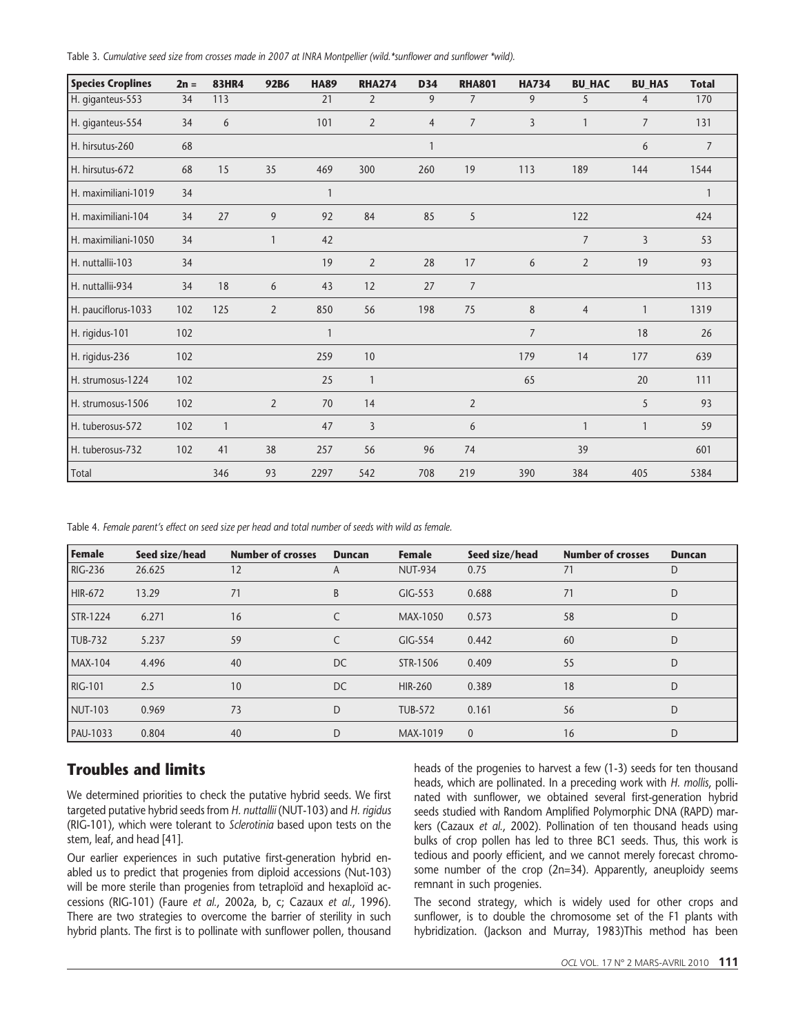Table 3. Cumulative seed size from crosses made in 2007 at INRA Montpellier (wild.\*sunflower and sunflower \*wild).

| <b>Species Croplines</b> | $2n =$ | <b>83HR4</b>   | 92B6           | <b>HA89</b>  | <b>RHA274</b>  | <b>D34</b>     | <b>RHA801</b>  | <b>HA734</b>   | <b>BU HAC</b>  | <b>BU_HAS</b>  | <b>Total</b>   |
|--------------------------|--------|----------------|----------------|--------------|----------------|----------------|----------------|----------------|----------------|----------------|----------------|
| H. giganteus-553         | 34     | 113            |                | 21           | $\overline{2}$ | 9              | $\overline{7}$ | 9              | 5              | $\overline{4}$ | 170            |
| H. giganteus-554         | 34     | 6              |                | 101          | $\overline{2}$ | $\overline{4}$ | $\overline{7}$ | $\overline{3}$ |                | $\overline{7}$ | 131            |
| H. hirsutus-260          | 68     |                |                |              |                | $\mathbf{1}$   |                |                |                | 6              | $\overline{7}$ |
| H. hirsutus-672          | 68     | 15             | 35             | 469          | 300            | 260            | 19             | 113            | 189            | 144            | 1544           |
| H. maximiliani-1019      | 34     |                |                | $\mathbf{1}$ |                |                |                |                |                |                | $\mathbf{1}$   |
| H. maximiliani-104       | 34     | 27             | 9              | 92           | 84             | 85             | 5              |                | 122            |                | 424            |
| H. maximiliani-1050      | 34     |                | 1              | 42           |                |                |                |                | $\overline{7}$ | $\overline{3}$ | 53             |
| H. nuttallii-103         | 34     |                |                | 19           | $\overline{2}$ | 28             | 17             | 6              | $\overline{2}$ | 19             | 93             |
| H. nuttallii-934         | 34     | 18             | 6              | 43           | 12             | 27             | $\overline{7}$ |                |                |                | 113            |
| H. pauciflorus-1033      | 102    | 125            | $\overline{2}$ | 850          | 56             | 198            | 75             | 8              | $\overline{4}$ | $\mathbf{1}$   | 1319           |
| H. rigidus-101           | 102    |                |                | 1            |                |                |                | $\overline{7}$ |                | 18             | 26             |
| H. rigidus-236           | 102    |                |                | 259          | 10             |                |                | 179            | 14             | 177            | 639            |
| H. strumosus-1224        | 102    |                |                | 25           | $\mathbf{1}$   |                |                | 65             |                | 20             | 111            |
| H. strumosus-1506        | 102    |                | $\overline{2}$ | 70           | 14             |                | 2              |                |                | 5              | 93             |
| H. tuberosus-572         | 102    | $\overline{1}$ |                | 47           | 3              |                | 6              |                |                | $\mathbf{1}$   | 59             |
| H. tuberosus-732         | 102    | 41             | 38             | 257          | 56             | 96             | 74             |                | 39             |                | 601            |
| Total                    |        | 346            | 93             | 2297         | 542            | 708            | 219            | 390            | 384            | 405            | 5384           |

Table 4. Female parent's effect on seed size per head and total number of seeds with wild as female.

| <b>Female</b>  | Seed size/head | <b>Number of crosses</b> | <b>Duncan</b> | <b>Female</b>  | Seed size/head | <b>Number of crosses</b> | <b>Duncan</b> |
|----------------|----------------|--------------------------|---------------|----------------|----------------|--------------------------|---------------|
| <b>RIG-236</b> | 26.625         | 12                       | A             | <b>NUT-934</b> | 0.75           | 71                       | D             |
| HIR-672        | 13.29          | 71                       | B             | GIG-553        | 0.688          | 71                       | D             |
| STR-1224       | 6.271          | 16                       |               | MAX-1050       | 0.573          | 58                       | D             |
| <b>TUB-732</b> | 5.237          | 59                       |               | $GIG-554$      | 0.442          | 60                       | D             |
| <b>MAX-104</b> | 4.496          | 40                       | DC            | STR-1506       | 0.409          | 55                       | D             |
| <b>RIG-101</b> | 2.5            | 10                       | DC            | <b>HIR-260</b> | 0.389          | 18                       | D             |
| NUT-103        | 0.969          | 73                       | D             | <b>TUB-572</b> | 0.161          | 56                       | D             |
| PAU-1033       | 0.804          | 40                       | D             | MAX-1019       | $\mathbf{0}$   | 16                       | D             |

### Troubles and limits

We determined priorities to check the putative hybrid seeds. We first targeted putative hybrid seeds from H. nuttallii (NUT-103) and H. rigidus (RIG-101), which were tolerant to Sclerotinia based upon tests on the stem, leaf, and head [41].

Our earlier experiences in such putative first-generation hybrid enabled us to predict that progenies from diploid accessions (Nut-103) will be more sterile than progenies from tetraploïd and hexaploïd accessions (RIG-101) (Faure et al., 2002a, b, c; Cazaux et al., 1996). There are two strategies to overcome the barrier of sterility in such hybrid plants. The first is to pollinate with sunflower pollen, thousand heads of the progenies to harvest a few (1-3) seeds for ten thousand heads, which are pollinated. In a preceding work with H. mollis, pollinated with sunflower, we obtained several first-generation hybrid seeds studied with Random Amplified Polymorphic DNA (RAPD) markers (Cazaux et al., 2002). Pollination of ten thousand heads using bulks of crop pollen has led to three BC1 seeds. Thus, this work is tedious and poorly efficient, and we cannot merely forecast chromosome number of the crop (2n=34). Apparently, aneuploidy seems remnant in such progenies.

The second strategy, which is widely used for other crops and sunflower, is to double the chromosome set of the F1 plants with hybridization. (Jackson and Murray, 1983)This method has been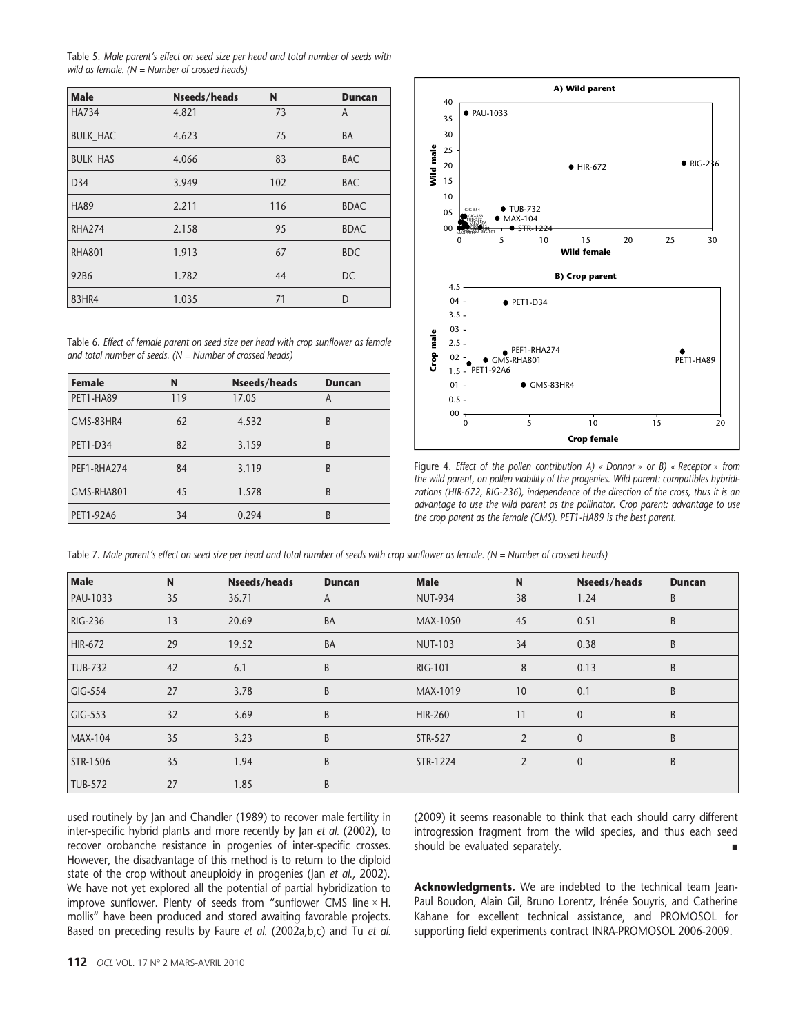Table 5. Male parent's effect on seed size per head and total number of seeds with wild as female.  $(N =$  Number of crossed heads)

| <b>Male</b>     | <b>Nseeds/heads</b> | N   | <b>Duncan</b> |
|-----------------|---------------------|-----|---------------|
| <b>HA734</b>    | 4.821               | 73  | A             |
| <b>BULK HAC</b> | 4.623               | 75  | <b>BA</b>     |
| <b>BULK HAS</b> | 4.066               | 83  | <b>BAC</b>    |
| D34             | 3.949               | 102 | <b>BAC</b>    |
| <b>HA89</b>     | 2.211               | 116 | <b>BDAC</b>   |
| <b>RHA274</b>   | 2.158               | 95  | <b>BDAC</b>   |
| <b>RHA801</b>   | 1.913               | 67  | <b>BDC</b>    |
| 92B6            | 1.782               | 44  | <b>DC</b>     |
| 83HR4           | 1.035               | 71  | D             |

Table 6. Effect of female parent on seed size per head with crop sunflower as female and total number of seeds.  $(N =$  Number of crossed heads)

| <b>Female</b>   | N   | <b>Nseeds/heads</b> | <b>Duncan</b> |
|-----------------|-----|---------------------|---------------|
| PET1-HA89       | 119 | 17.05               | Α             |
| GMS-83HR4       | 62  | 4.532               | B             |
| <b>PET1-D34</b> | 82  | 3.159               | B             |
| PEF1-RHA274     | 84  | 3.119               | B             |
| GMS-RHA801      | 45  | 1.578               | B             |
| PET1-92A6       | 34  | 0.294               | B             |



Figure 4. Effect of the pollen contribution A) « Donnor » or B) « Receptor » from the wild parent, on pollen viability of the progenies. Wild parent: compatibles hybridizations (HIR-672, RIG-236), independence of the direction of the cross, thus it is an advantage to use the wild parent as the pollinator. Crop parent: advantage to use the crop parent as the female (CMS). PET1-HA89 is the best parent.

Table 7. Male parent's effect on seed size per head and total number of seeds with crop sunflower as female. (N = Number of crossed heads)

| <b>Male</b>    | N  | <b>Nseeds/heads</b> | <b>Duncan</b> | <b>Male</b>    | N              | Nseeds/heads | <b>Duncan</b> |
|----------------|----|---------------------|---------------|----------------|----------------|--------------|---------------|
| PAU-1033       | 35 | 36.71               | A             | <b>NUT-934</b> | 38             | 1.24         | B             |
| <b>RIG-236</b> | 13 | 20.69               | <b>BA</b>     | MAX-1050       | 45             | 0.51         | B             |
| HIR-672        | 29 | 19.52               | <b>BA</b>     | <b>NUT-103</b> | 34             | 0.38         | B             |
| <b>TUB-732</b> | 42 | 6.1                 | B             | <b>RIG-101</b> | 8              | 0.13         | B             |
| GIG-554        | 27 | 3.78                | B             | MAX-1019       | 10             | 0.1          | B             |
| GIG-553        | 32 | 3.69                | B             | <b>HIR-260</b> | 11             | $\Omega$     | B             |
| <b>MAX-104</b> | 35 | 3.23                | B             | <b>STR-527</b> | $\overline{2}$ | $\mathbf{0}$ | B             |
| STR-1506       | 35 | 1.94                | B             | STR-1224       | $\overline{2}$ | $\mathbf{0}$ | B             |
| <b>TUB-572</b> | 27 | 1.85                | B             |                |                |              |               |

used routinely by Jan and Chandler (1989) to recover male fertility in inter-specific hybrid plants and more recently by Jan et al. (2002), to recover orobanche resistance in progenies of inter-specific crosses. However, the disadvantage of this method is to return to the diploid state of the crop without aneuploidy in progenies (Jan et al., 2002). We have not yet explored all the potential of partial hybridization to improve sunflower. Plenty of seeds from "sunflower CMS line  $\times$  H. mollis" have been produced and stored awaiting favorable projects. Based on preceding results by Faure et al. (2002a,b,c) and Tu et al. (2009) it seems reasonable to think that each should carry different introgression fragment from the wild species, and thus each seed should be evaluated separately.

Acknowledgments. We are indebted to the technical team Jean-Paul Boudon, Alain Gil, Bruno Lorentz, Irénée Souyris, and Catherine Kahane for excellent technical assistance, and PROMOSOL for supporting field experiments contract INRA-PROMOSOL 2006-2009.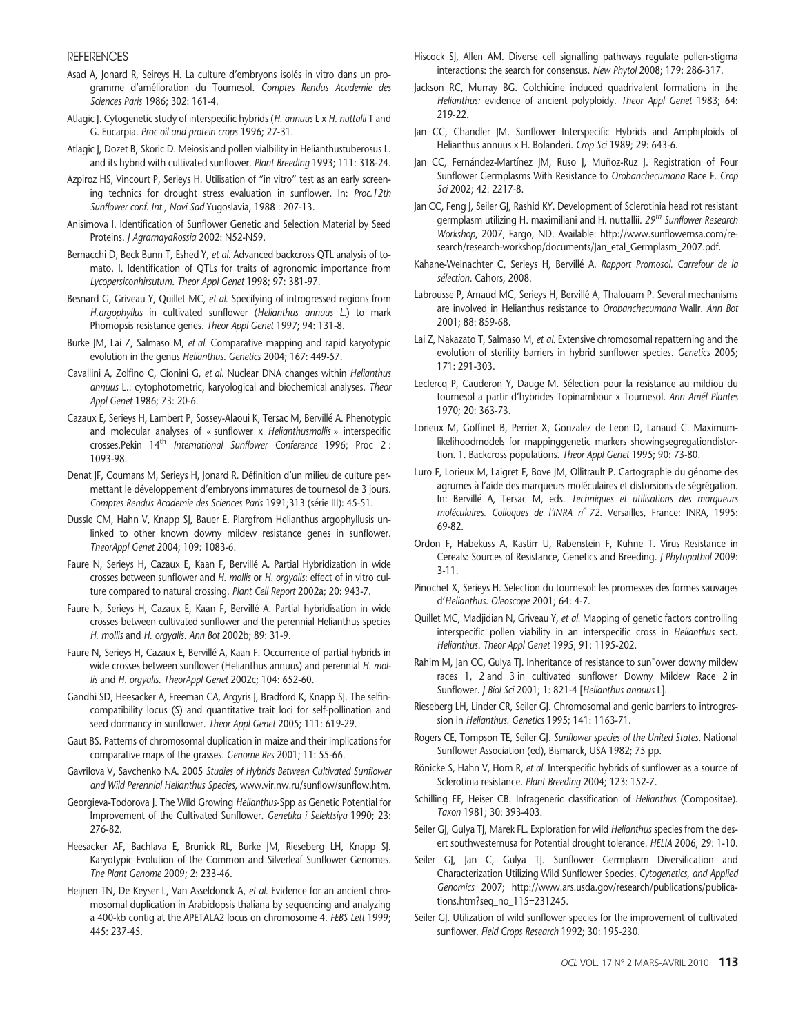#### **REFERENCES**

- Asad A, Jonard R, Seireys H. La culture d'embryons isolés in vitro dans un programme d'amélioration du Tournesol. Comptes Rendus Academie des Sciences Paris 1986; 302: 161-4.
- Atlagic J. Cytogenetic study of interspecific hybrids (H. annuus L x H. nuttalii T and G. Eucarpia. Proc oil and protein crops 1996; 27-31.
- Atlagic J, Dozet B, Skoric D. Meiosis and pollen vialbility in Helianthustuberosus L. and its hybrid with cultivated sunflower. Plant Breeding 1993; 111: 318-24.
- Azpiroz HS, Vincourt P, Serieys H. Utilisation of "in vitro" test as an early screening technics for drought stress evaluation in sunflower. In: Proc.12th Sunflower conf. Int., Novi Sad Yugoslavia, 1988 : 207-13.
- Anisimova I. Identification of Sunflower Genetic and Selection Material by Seed Proteins. J AgrarnayaRossia 2002: N52-N59.
- Bernacchi D, Beck Bunn T, Eshed Y, et al. Advanced backcross QTL analysis of tomato. I. Identification of QTLs for traits of agronomic importance from Lycopersiconhirsutum. Theor Appl Genet 1998; 97: 381-97.
- Besnard G, Griveau Y, Quillet MC, et al. Specifying of introgressed regions from H.argophyllus in cultivated sunflower (Helianthus annuus L.) to mark Phomopsis resistance genes. Theor Appl Genet 1997; 94: 131-8.
- Burke JM, Lai Z, Salmaso M, et al. Comparative mapping and rapid karyotypic evolution in the genus Helianthus. Genetics 2004; 167: 449-57.
- Cavallini A, Zolfino C, Cionini G, et al. Nuclear DNA changes within Helianthus annuus L.: cytophotometric, karyological and biochemical analyses. Theor Appl Genet 1986; 73: 20-6.
- Cazaux E, Serieys H, Lambert P, Sossey-Alaoui K, Tersac M, Bervillé A. Phenotypic and molecular analyses of « sunflower x Helianthusmollis » interspecific crosses.Pekin 14<sup>th</sup> International Sunflower Conference 1996; Proc 2: 1093-98.
- Denat JF, Coumans M, Serieys H, Jonard R. Définition d'un milieu de culture permettant le développement d'embryons immatures de tournesol de 3 jours. Comptes Rendus Academie des Sciences Paris 1991;313 (série III): 45-51.
- Dussle CM, Hahn V, Knapp SJ, Bauer E. Plargfrom Helianthus argophyllusis unlinked to other known downy mildew resistance genes in sunflower. TheorAppl Genet 2004; 109: 1083-6.
- Faure N, Serieys H, Cazaux E, Kaan F, Bervillé A. Partial Hybridization in wide crosses between sunflower and H. mollis or H. orgyalis: effect of in vitro culture compared to natural crossing. Plant Cell Report 2002a; 20: 943-7.
- Faure N, Serieys H, Cazaux E, Kaan F, Bervillé A. Partial hybridisation in wide crosses between cultivated sunflower and the perennial Helianthus species H. mollis and H. orgyalis. Ann Bot 2002b; 89: 31-9.
- Faure N, Serieys H, Cazaux E, Bervillé A, Kaan F. Occurrence of partial hybrids in wide crosses between sunflower (Helianthus annuus) and perennial H. mollis and H. orgyalis. TheorAppl Genet 2002c; 104: 652-60.
- Gandhi SD, Heesacker A, Freeman CA, Argyris J, Bradford K, Knapp SJ. The selfincompatibility locus (S) and quantitative trait loci for self-pollination and seed dormancy in sunflower. Theor Appl Genet 2005; 111: 619-29.
- Gaut BS. Patterns of chromosomal duplication in maize and their implications for comparative maps of the grasses. Genome Res 2001; 11: 55-66.
- Gavrilova V, Savchenko NA. 2005 Studies of Hybrids Between Cultivated Sunflower and Wild Perennial Helianthus Species, www.vir.nw.ru/sunflow/sunflow.htm.
- Georgieva-Todorova J. The Wild Growing Helianthus-Spp as Genetic Potential for Improvement of the Cultivated Sunflower. Genetika i Selektsiya 1990; 23: 276-82.
- Heesacker AF, Bachlava E, Brunick RL, Burke JM, Rieseberg LH, Knapp SJ. Karyotypic Evolution of the Common and Silverleaf Sunflower Genomes. The Plant Genome 2009; 2: 233-46.
- Heijnen TN, De Keyser L, Van Asseldonck A, et al. Evidence for an ancient chromosomal duplication in Arabidopsis thaliana by sequencing and analyzing a 400-kb contig at the APETALA2 locus on chromosome 4. FEBS Lett 1999; 445: 237-45.
- Hiscock SJ, Allen AM. Diverse cell signalling pathways regulate pollen-stigma interactions: the search for consensus. New Phytol 2008; 179: 286-317.
- Jackson RC, Murray BG. Colchicine induced quadrivalent formations in the Helianthus: evidence of ancient polyploidy. Theor Appl Genet 1983; 64: 219-22.
- Jan CC, Chandler JM. Sunflower Interspecific Hybrids and Amphiploids of Helianthus annuus x H. Bolanderi. Crop Sci 1989; 29: 643-6.
- Jan CC, Fernández-Martínez JM, Ruso J, Muñoz-Ruz J. Registration of Four Sunflower Germplasms With Resistance to Orobanchecumana Race F. Crop Sci 2002; 42: 2217-8.
- Jan CC, Feng J, Seiler GJ, Rashid KY. Development of Sclerotinia head rot resistant germplasm utilizing H. maximiliani and H. nuttallii. 29<sup>th</sup> Sunflower Research Workshop, 2007, Fargo, ND. Available: http://www.sunflowernsa.com/research/research-workshop/documents/Jan\_etal\_Germplasm\_2007.pdf.
- Kahane-Weinachter C, Serieys H, Bervillé A. Rapport Promosol. Carrefour de la sélection. Cahors, 2008.
- Labrousse P, Arnaud MC, Serieys H, Bervillé A, Thalouarn P. Several mechanisms are involved in Helianthus resistance to Orobanchecumana Wallr. Ann Bot 2001; 88: 859-68.
- Lai Z, Nakazato T, Salmaso M, et al. Extensive chromosomal repatterning and the evolution of sterility barriers in hybrid sunflower species. Genetics 2005; 171: 291-303.
- Leclercq P, Cauderon Y, Dauge M. Sélection pour la resistance au mildiou du tournesol a partir d'hybrides Topinambour x Tournesol. Ann Amél Plantes 1970; 20: 363-73.
- Lorieux M, Goffinet B, Perrier X, Gonzalez de Leon D, Lanaud C. Maximumlikelihoodmodels for mappinggenetic markers showingsegregationdistortion. 1. Backcross populations. Theor Appl Genet 1995; 90: 73-80.
- Luro F, Lorieux M, Laigret F, Bove JM, Ollitrault P. Cartographie du génome des agrumes à l'aide des marqueurs moléculaires et distorsions de ségrégation. In: Bervillé A, Tersac M, eds. Techniques et utilisations des marqueurs moléculaires. Colloques de l'INRA nº 72. Versailles, France: INRA, 1995: 69-82.
- Ordon F, Habekuss A, Kastirr U, Rabenstein F, Kuhne T. Virus Resistance in Cereals: Sources of Resistance, Genetics and Breeding. J Phytopathol 2009: 3-11.
- Pinochet X, Serieys H. Selection du tournesol: les promesses des formes sauvages d'Helianthus. Oleoscope 2001; 64: 4-7.
- Quillet MC, Madjidian N, Griveau Y, et al. Mapping of genetic factors controlling interspecific pollen viability in an interspecific cross in Helianthus sect. Helianthus. Theor Appl Genet 1995; 91: 1195-202.
- Rahim M, Jan CC, Gulya TJ. Inheritance of resistance to sun<sup>-</sup>ower downy mildew races 1, 2 and 3 in cultivated sunflower Downy Mildew Race 2 in Sunflower. J Biol Sci 2001; 1: 821-4 [Helianthus annuus L].
- Rieseberg LH, Linder CR, Seiler GJ. Chromosomal and genic barriers to introgression in Helianthus. Genetics 1995; 141: 1163-71.
- Rogers CE, Tompson TE, Seiler GJ. Sunflower species of the United States. National Sunflower Association (ed), Bismarck, USA 1982; 75 pp.
- Rönicke S, Hahn V, Horn R, et al. Interspecific hybrids of sunflower as a source of Sclerotinia resistance. Plant Breeding 2004; 123: 152-7.
- Schilling EE, Heiser CB. Infrageneric classification of Helianthus (Compositae). Taxon 1981; 30: 393-403.
- Seiler GJ, Gulya TJ, Marek FL. Exploration for wild Helianthus species from the desert southwesternusa for Potential drought tolerance. HELIA 2006; 29: 1-10.
- Seiler GJ, Jan C, Gulya TJ. Sunflower Germplasm Diversification and Characterization Utilizing Wild Sunflower Species. Cytogenetics, and Applied Genomics 2007; http://www.ars.usda.gov/research/publications/publications.htm?seq\_no\_115=231245.
- Seiler GJ. Utilization of wild sunflower species for the improvement of cultivated sunflower. Field Crops Research 1992; 30: 195-230.